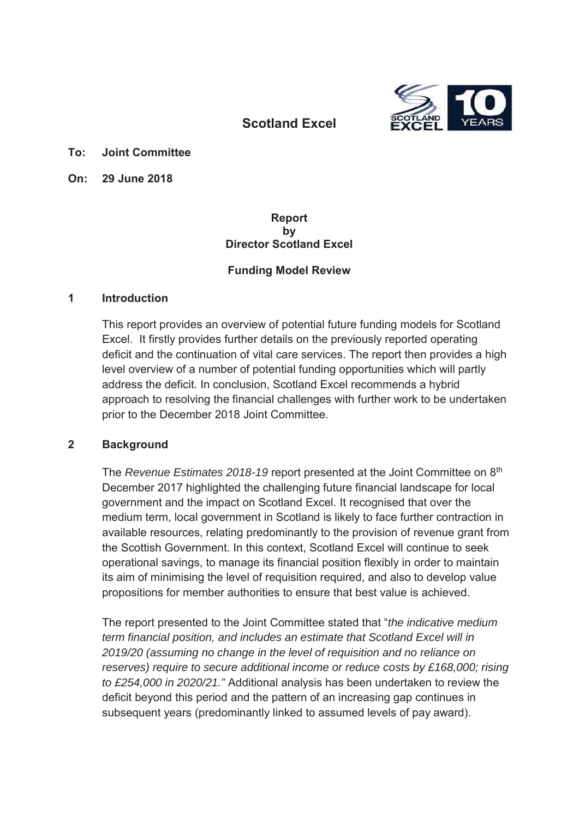

# **Scotland Excel**

#### **To: Joint Committee**

**On: 29 June 2018**

#### **Report by Director Scotland Excel**

### **Funding Model Review**

#### **1 Introduction**

This report provides an overview of potential future funding models for Scotland Excel. It firstly provides further details on the previously reported operating deficit and the continuation of vital care services. The report then provides a high level overview of a number of potential funding opportunities which will partly address the deficit. In conclusion, Scotland Excel recommends a hybrid approach to resolving the financial challenges with further work to be undertaken prior to the December 2018 Joint Committee.

### **2 Background**

The *Revenue Estimates 2018-19* report presented at the Joint Committee on 8<sup>th</sup> December 2017 highlighted the challenging future financial landscape for local government and the impact on Scotland Excel. It recognised that over the medium term, local government in Scotland is likely to face further contraction in available resources, relating predominantly to the provision of revenue grant from the Scottish Government. In this context, Scotland Excel will continue to seek operational savings, to manage its financial position flexibly in order to maintain its aim of minimising the level of requisition required, and also to develop value propositions for member authorities to ensure that best value is achieved.

The report presented to the Joint Committee stated that "*the indicative medium term financial position, and includes an estimate that Scotland Excel will in 2019/20 (assuming no change in the level of requisition and no reliance on reserves) require to secure additional income or reduce costs by £168,000; rising to £254,000 in 2020/21."* Additional analysis has been undertaken to review the deficit beyond this period and the pattern of an increasing gap continues in subsequent years (predominantly linked to assumed levels of pay award).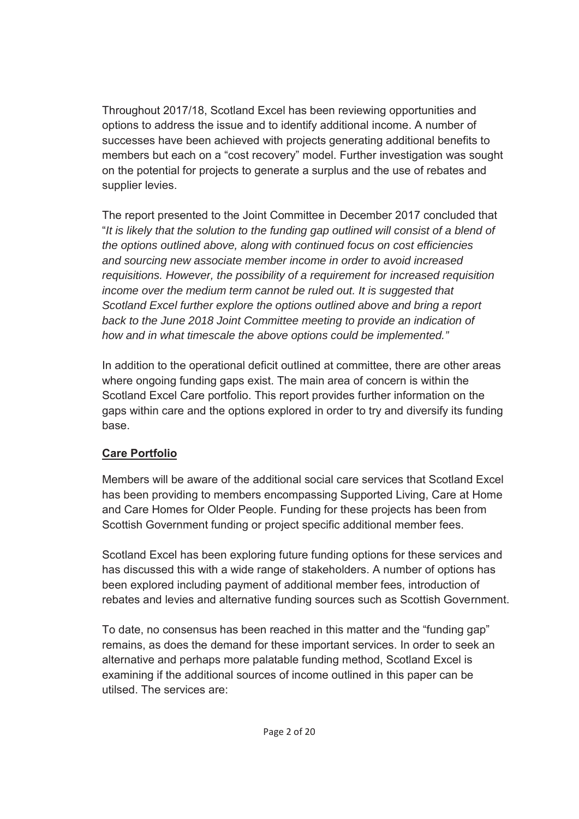Throughout 2017/18, Scotland Excel has been reviewing opportunities and options to address the issue and to identify additional income. A number of successes have been achieved with projects generating additional benefits to members but each on a "cost recovery" model. Further investigation was sought on the potential for projects to generate a surplus and the use of rebates and supplier levies.

The report presented to the Joint Committee in December 2017 concluded that "*It is likely that the solution to the funding gap outlined will consist of a blend of the options outlined above, along with continued focus on cost efficiencies and sourcing new associate member income in order to avoid increased requisitions. However, the possibility of a requirement for increased requisition income over the medium term cannot be ruled out. It is suggested that Scotland Excel further explore the options outlined above and bring a report back to the June 2018 Joint Committee meeting to provide an indication of how and in what timescale the above options could be implemented."*

In addition to the operational deficit outlined at committee, there are other areas where ongoing funding gaps exist. The main area of concern is within the Scotland Excel Care portfolio. This report provides further information on the gaps within care and the options explored in order to try and diversify its funding base.

# **Care Portfolio**

Members will be aware of the additional social care services that Scotland Excel has been providing to members encompassing Supported Living, Care at Home and Care Homes for Older People. Funding for these projects has been from Scottish Government funding or project specific additional member fees.

Scotland Excel has been exploring future funding options for these services and has discussed this with a wide range of stakeholders. A number of options has been explored including payment of additional member fees, introduction of rebates and levies and alternative funding sources such as Scottish Government.

To date, no consensus has been reached in this matter and the "funding gap" remains, as does the demand for these important services. In order to seek an alternative and perhaps more palatable funding method, Scotland Excel is examining if the additional sources of income outlined in this paper can be utilsed. The services are: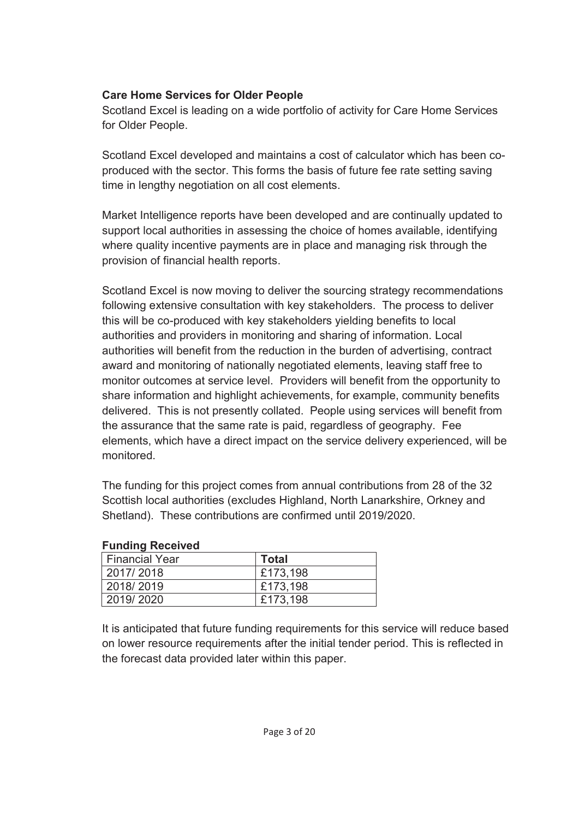### **Care Home Services for Older People**

Scotland Excel is leading on a wide portfolio of activity for Care Home Services for Older People.

Scotland Excel developed and maintains a cost of calculator which has been coproduced with the sector. This forms the basis of future fee rate setting saving time in lengthy negotiation on all cost elements.

Market Intelligence reports have been developed and are continually updated to support local authorities in assessing the choice of homes available, identifying where quality incentive payments are in place and managing risk through the provision of financial health reports.

Scotland Excel is now moving to deliver the sourcing strategy recommendations following extensive consultation with key stakeholders. The process to deliver this will be co-produced with key stakeholders yielding benefits to local authorities and providers in monitoring and sharing of information. Local authorities will benefit from the reduction in the burden of advertising, contract award and monitoring of nationally negotiated elements, leaving staff free to monitor outcomes at service level. Providers will benefit from the opportunity to share information and highlight achievements, for example, community benefits delivered. This is not presently collated. People using services will benefit from the assurance that the same rate is paid, regardless of geography. Fee elements, which have a direct impact on the service delivery experienced, will be monitored.

The funding for this project comes from annual contributions from 28 of the 32 Scottish local authorities (excludes Highland, North Lanarkshire, Orkney and Shetland). These contributions are confirmed until 2019/2020.

| <b>Fullully Received</b> |              |
|--------------------------|--------------|
| <b>Financial Year</b>    | <b>Total</b> |
| 2017/2018                | £173,198     |
| 2018/2019                | £173,198     |
| 2019/2020                | £173,198     |

### **Funding Received**

It is anticipated that future funding requirements for this service will reduce based on lower resource requirements after the initial tender period. This is reflected in the forecast data provided later within this paper.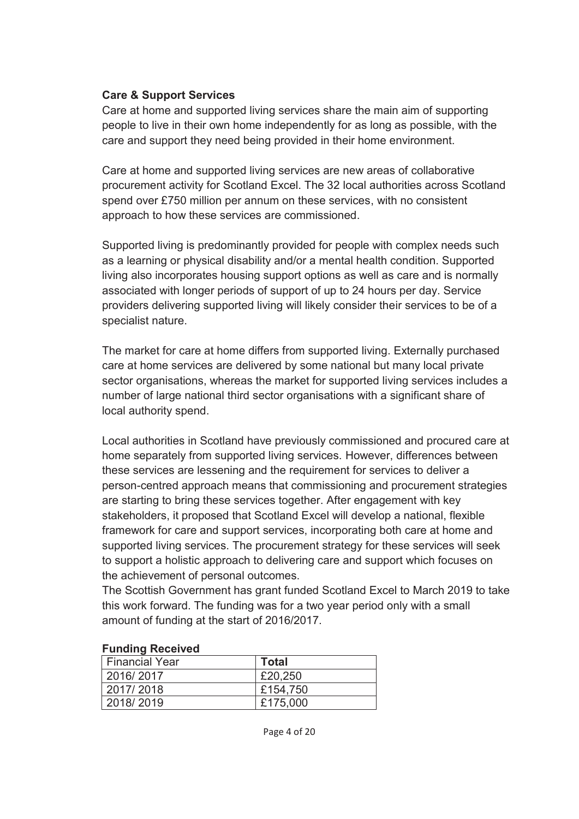### **Care & Support Services**

Care at home and supported living services share the main aim of supporting people to live in their own home independently for as long as possible, with the care and support they need being provided in their home environment.

Care at home and supported living services are new areas of collaborative procurement activity for Scotland Excel. The 32 local authorities across Scotland spend over £750 million per annum on these services, with no consistent approach to how these services are commissioned.

Supported living is predominantly provided for people with complex needs such as a learning or physical disability and/or a mental health condition. Supported living also incorporates housing support options as well as care and is normally associated with longer periods of support of up to 24 hours per day. Service providers delivering supported living will likely consider their services to be of a specialist nature.

The market for care at home differs from supported living. Externally purchased care at home services are delivered by some national but many local private sector organisations, whereas the market for supported living services includes a number of large national third sector organisations with a significant share of local authority spend.

Local authorities in Scotland have previously commissioned and procured care at home separately from supported living services. However, differences between these services are lessening and the requirement for services to deliver a person-centred approach means that commissioning and procurement strategies are starting to bring these services together. After engagement with key stakeholders, it proposed that Scotland Excel will develop a national, flexible framework for care and support services, incorporating both care at home and supported living services. The procurement strategy for these services will seek to support a holistic approach to delivering care and support which focuses on the achievement of personal outcomes.

The Scottish Government has grant funded Scotland Excel to March 2019 to take this work forward. The funding was for a two year period only with a small amount of funding at the start of 2016/2017.

| <b>I dilding Received</b> |              |
|---------------------------|--------------|
| <b>Financial Year</b>     | <b>Total</b> |
| 2016/2017                 | £20,250      |
| 2017/2018                 | £154,750     |
| 2018/2019                 | £175,000     |

#### **Funding Received**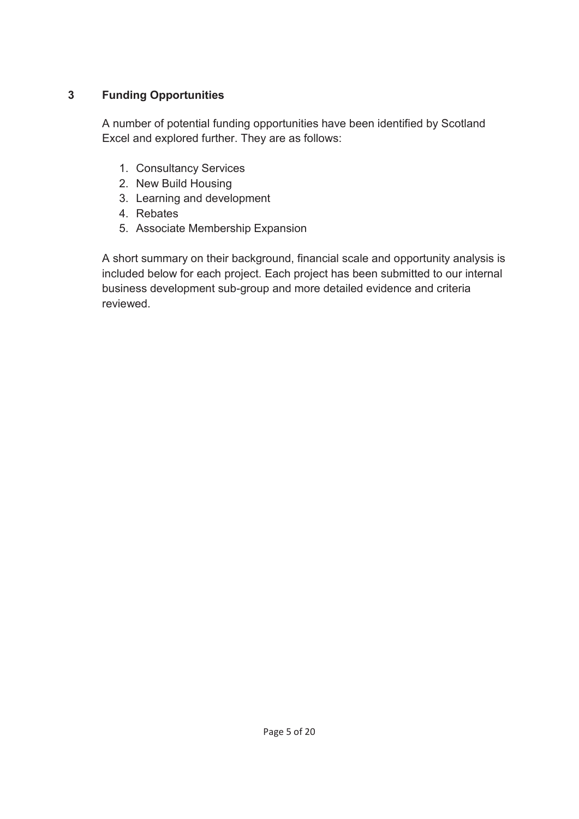## **3 Funding Opportunities**

A number of potential funding opportunities have been identified by Scotland Excel and explored further. They are as follows:

- 1. Consultancy Services
- 2. New Build Housing
- 3. Learning and development
- 4. Rebates
- 5. Associate Membership Expansion

A short summary on their background, financial scale and opportunity analysis is included below for each project. Each project has been submitted to our internal business development sub-group and more detailed evidence and criteria reviewed.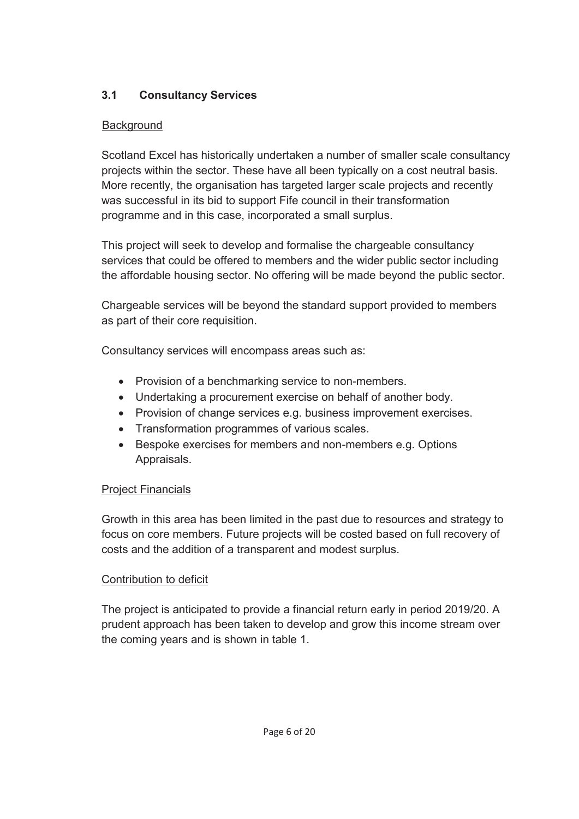# **3.1 Consultancy Services**

## **Background**

Scotland Excel has historically undertaken a number of smaller scale consultancy projects within the sector. These have all been typically on a cost neutral basis. More recently, the organisation has targeted larger scale projects and recently was successful in its bid to support Fife council in their transformation programme and in this case, incorporated a small surplus.

This project will seek to develop and formalise the chargeable consultancy services that could be offered to members and the wider public sector including the affordable housing sector. No offering will be made beyond the public sector.

Chargeable services will be beyond the standard support provided to members as part of their core requisition.

Consultancy services will encompass areas such as:

- Provision of a benchmarking service to non-members.
- Undertaking a procurement exercise on behalf of another body.
- Provision of change services e.g. business improvement exercises.
- Transformation programmes of various scales.
- Bespoke exercises for members and non-members e.g. Options Appraisals.

# Project Financials

Growth in this area has been limited in the past due to resources and strategy to focus on core members. Future projects will be costed based on full recovery of costs and the addition of a transparent and modest surplus.

# Contribution to deficit

The project is anticipated to provide a financial return early in period 2019/20. A prudent approach has been taken to develop and grow this income stream over the coming years and is shown in table 1.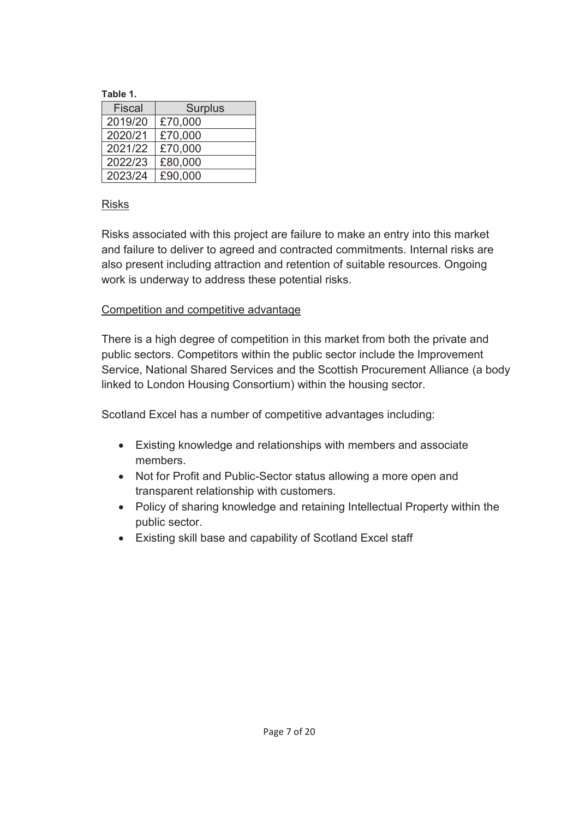**Table 1.** 

| Fiscal  | <b>Surplus</b> |
|---------|----------------|
| 2019/20 | £70,000        |
| 2020/21 | £70,000        |
| 2021/22 | £70,000        |
| 2022/23 | £80,000        |
| 2023/24 | £90.000        |

### Risks

Risks associated with this project are failure to make an entry into this market and failure to deliver to agreed and contracted commitments. Internal risks are also present including attraction and retention of suitable resources. Ongoing work is underway to address these potential risks.

## Competition and competitive advantage

There is a high degree of competition in this market from both the private and public sectors. Competitors within the public sector include the Improvement Service, National Shared Services and the Scottish Procurement Alliance (a body linked to London Housing Consortium) within the housing sector.

Scotland Excel has a number of competitive advantages including:

- Existing knowledge and relationships with members and associate members.
- Not for Profit and Public-Sector status allowing a more open and transparent relationship with customers.
- Policy of sharing knowledge and retaining Intellectual Property within the public sector.
- Existing skill base and capability of Scotland Excel staff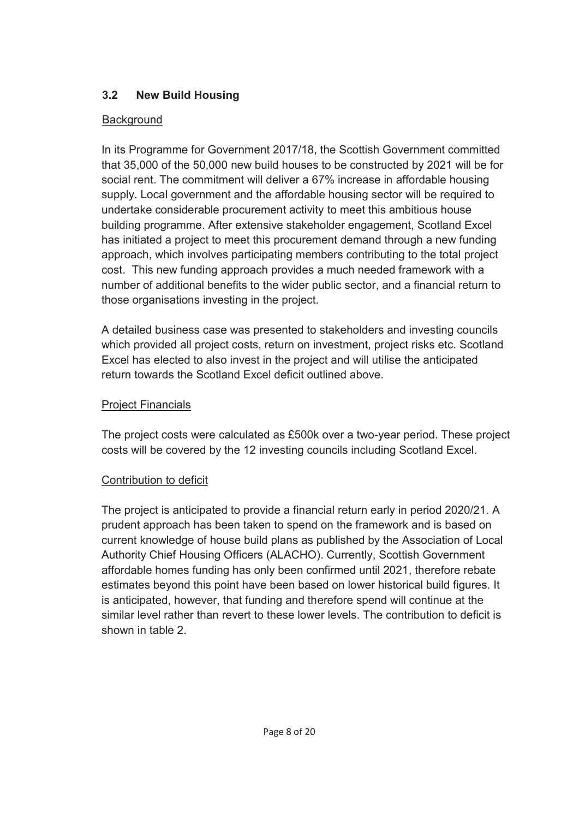## **3.2 New Build Housing**

## **Background**

In its Programme for Government 2017/18, the Scottish Government committed that 35,000 of the 50,000 new build houses to be constructed by 2021 will be for social rent. The commitment will deliver a 67% increase in affordable housing supply. Local government and the affordable housing sector will be required to undertake considerable procurement activity to meet this ambitious house building programme. After extensive stakeholder engagement, Scotland Excel has initiated a project to meet this procurement demand through a new funding approach, which involves participating members contributing to the total project cost. This new funding approach provides a much needed framework with a number of additional benefits to the wider public sector, and a financial return to those organisations investing in the project.

A detailed business case was presented to stakeholders and investing councils which provided all project costs, return on investment, project risks etc. Scotland Excel has elected to also invest in the project and will utilise the anticipated return towards the Scotland Excel deficit outlined above.

# Project Financials

The project costs were calculated as £500k over a two-year period. These project costs will be covered by the 12 investing councils including Scotland Excel.

# Contribution to deficit

The project is anticipated to provide a financial return early in period 2020/21. A prudent approach has been taken to spend on the framework and is based on current knowledge of house build plans as published by the Association of Local Authority Chief Housing Officers (ALACHO). Currently, Scottish Government affordable homes funding has only been confirmed until 2021, therefore rebate estimates beyond this point have been based on lower historical build figures. It is anticipated, however, that funding and therefore spend will continue at the similar level rather than revert to these lower levels. The contribution to deficit is shown in table 2.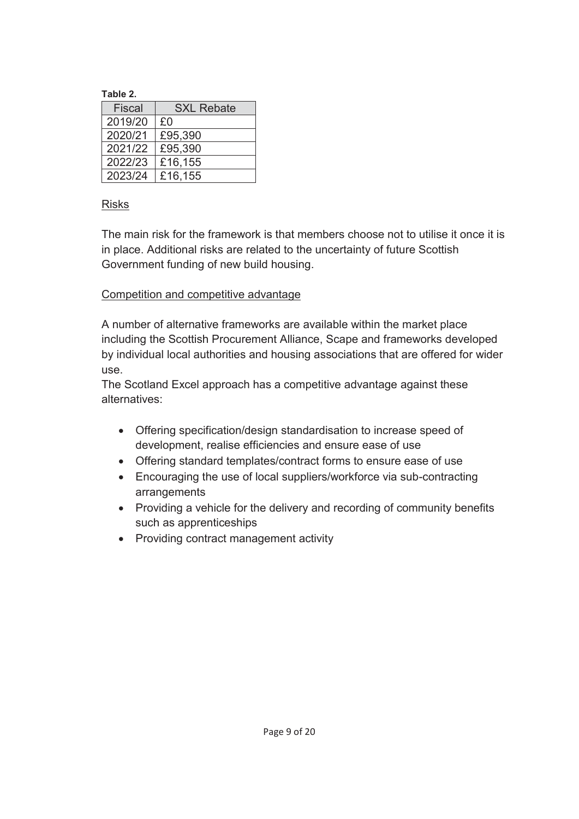#### **Table 2.**

| Fiscal  | <b>SXL Rebate</b> |
|---------|-------------------|
| 2019/20 | £0                |
| 2020/21 | £95,390           |
| 2021/22 | £95,390           |
| 2022/23 | £16,155           |
| 2023/24 | £16,155           |

### Risks

The main risk for the framework is that members choose not to utilise it once it is in place. Additional risks are related to the uncertainty of future Scottish Government funding of new build housing.

### Competition and competitive advantage

A number of alternative frameworks are available within the market place including the Scottish Procurement Alliance, Scape and frameworks developed by individual local authorities and housing associations that are offered for wider use.

The Scotland Excel approach has a competitive advantage against these alternatives:

- Offering specification/design standardisation to increase speed of development, realise efficiencies and ensure ease of use
- Offering standard templates/contract forms to ensure ease of use
- Encouraging the use of local suppliers/workforce via sub-contracting arrangements
- Providing a vehicle for the delivery and recording of community benefits such as apprenticeships
- Providing contract management activity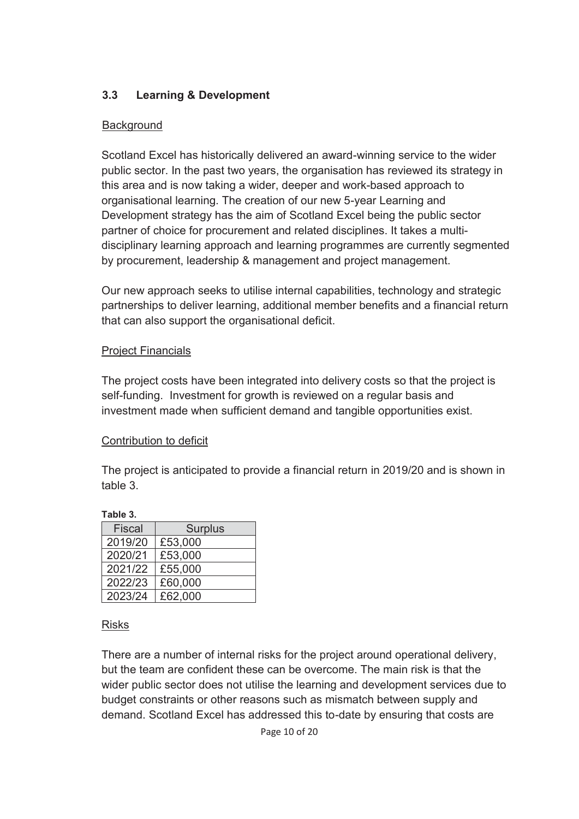## **3.3 Learning & Development**

### **Background**

Scotland Excel has historically delivered an award-winning service to the wider public sector. In the past two years, the organisation has reviewed its strategy in this area and is now taking a wider, deeper and work-based approach to organisational learning. The creation of our new 5-year Learning and Development strategy has the aim of Scotland Excel being the public sector partner of choice for procurement and related disciplines. It takes a multidisciplinary learning approach and learning programmes are currently segmented by procurement, leadership & management and project management.

Our new approach seeks to utilise internal capabilities, technology and strategic partnerships to deliver learning, additional member benefits and a financial return that can also support the organisational deficit.

### Project Financials

The project costs have been integrated into delivery costs so that the project is self-funding. Investment for growth is reviewed on a regular basis and investment made when sufficient demand and tangible opportunities exist.

### Contribution to deficit

The project is anticipated to provide a financial return in 2019/20 and is shown in table 3.

### **Table 3.**

| <b>Fiscal</b> | <b>Surplus</b> |
|---------------|----------------|
| 2019/20       | £53,000        |
| 2020/21       | £53,000        |
| 2021/22       | £55,000        |
| 2022/23       | £60,000        |
| 2023/24       | £62,000        |

### Risks

There are a number of internal risks for the project around operational delivery, but the team are confident these can be overcome. The main risk is that the wider public sector does not utilise the learning and development services due to budget constraints or other reasons such as mismatch between supply and demand. Scotland Excel has addressed this to-date by ensuring that costs are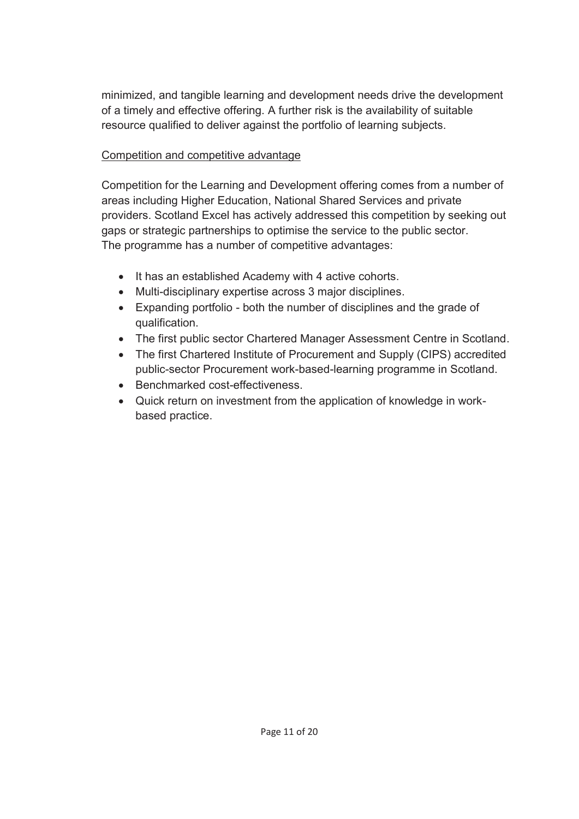minimized, and tangible learning and development needs drive the development of a timely and effective offering. A further risk is the availability of suitable resource qualified to deliver against the portfolio of learning subjects.

## Competition and competitive advantage

Competition for the Learning and Development offering comes from a number of areas including Higher Education, National Shared Services and private providers. Scotland Excel has actively addressed this competition by seeking out gaps or strategic partnerships to optimise the service to the public sector. The programme has a number of competitive advantages:

- It has an established Academy with 4 active cohorts.
- Multi-disciplinary expertise across 3 major disciplines.
- Expanding portfolio both the number of disciplines and the grade of qualification.
- The first public sector Chartered Manager Assessment Centre in Scotland.
- The first Chartered Institute of Procurement and Supply (CIPS) accredited public-sector Procurement work-based-learning programme in Scotland.
- Benchmarked cost-effectiveness.
- Quick return on investment from the application of knowledge in workbased practice.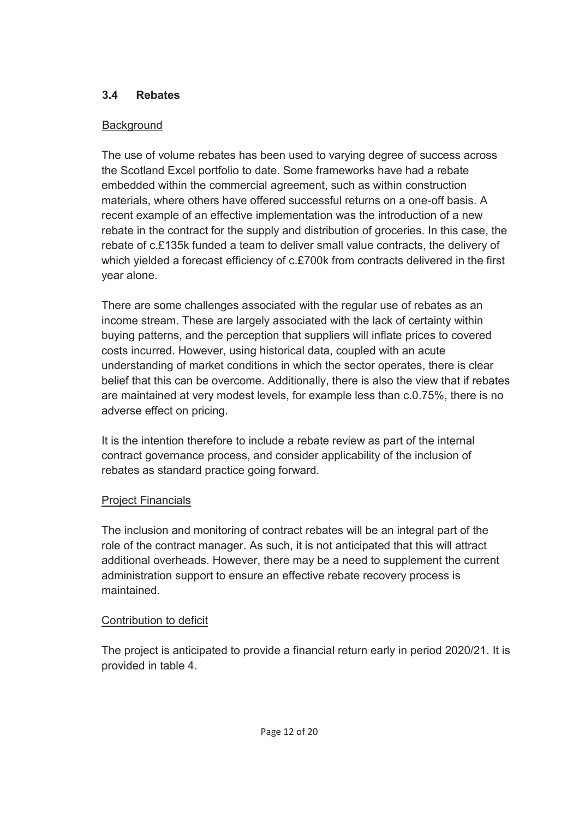## **3.4 Rebates**

## **Background**

The use of volume rebates has been used to varying degree of success across the Scotland Excel portfolio to date. Some frameworks have had a rebate embedded within the commercial agreement, such as within construction materials, where others have offered successful returns on a one-off basis. A recent example of an effective implementation was the introduction of a new rebate in the contract for the supply and distribution of groceries. In this case, the rebate of c.£135k funded a team to deliver small value contracts, the delivery of which yielded a forecast efficiency of c.£700k from contracts delivered in the first year alone.

There are some challenges associated with the regular use of rebates as an income stream. These are largely associated with the lack of certainty within buying patterns, and the perception that suppliers will inflate prices to covered costs incurred. However, using historical data, coupled with an acute understanding of market conditions in which the sector operates, there is clear belief that this can be overcome. Additionally, there is also the view that if rebates are maintained at very modest levels, for example less than c.0.75%, there is no adverse effect on pricing.

It is the intention therefore to include a rebate review as part of the internal contract governance process, and consider applicability of the inclusion of rebates as standard practice going forward.

# Project Financials

The inclusion and monitoring of contract rebates will be an integral part of the role of the contract manager. As such, it is not anticipated that this will attract additional overheads. However, there may be a need to supplement the current administration support to ensure an effective rebate recovery process is maintained.

# Contribution to deficit

The project is anticipated to provide a financial return early in period 2020/21. It is provided in table 4.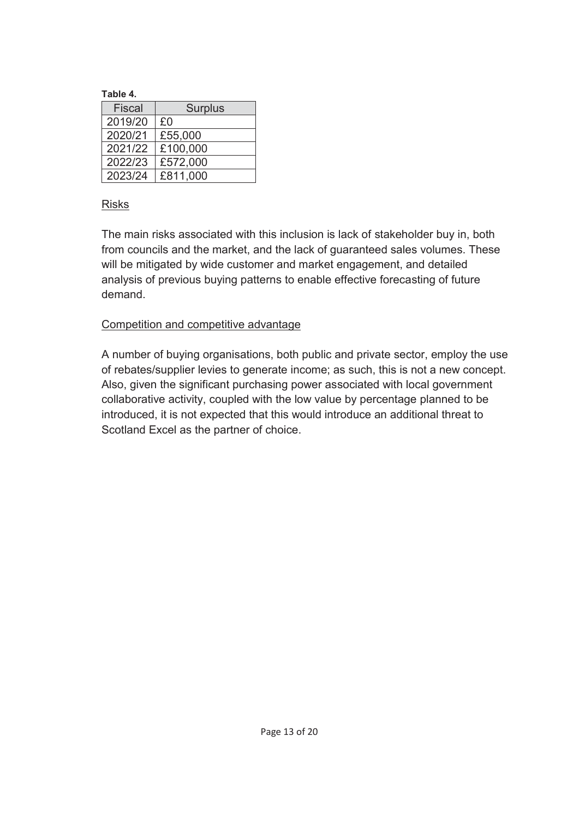#### **Table 4.**

| Fiscal  | <b>Surplus</b> |
|---------|----------------|
| 2019/20 | £0             |
| 2020/21 | £55,000        |
| 2021/22 | £100,000       |
| 2022/23 | £572,000       |
| 2023/24 | £811,000       |

### Risks

The main risks associated with this inclusion is lack of stakeholder buy in, both from councils and the market, and the lack of guaranteed sales volumes. These will be mitigated by wide customer and market engagement, and detailed analysis of previous buying patterns to enable effective forecasting of future demand.

### Competition and competitive advantage

A number of buying organisations, both public and private sector, employ the use of rebates/supplier levies to generate income; as such, this is not a new concept. Also, given the significant purchasing power associated with local government collaborative activity, coupled with the low value by percentage planned to be introduced, it is not expected that this would introduce an additional threat to Scotland Excel as the partner of choice.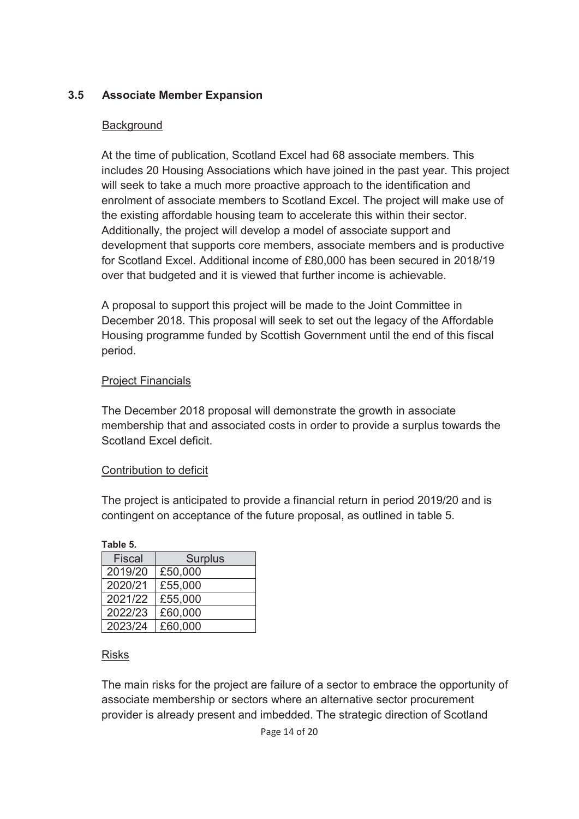## **3.5 Associate Member Expansion**

### **Background**

At the time of publication, Scotland Excel had 68 associate members. This includes 20 Housing Associations which have joined in the past year. This project will seek to take a much more proactive approach to the identification and enrolment of associate members to Scotland Excel. The project will make use of the existing affordable housing team to accelerate this within their sector. Additionally, the project will develop a model of associate support and development that supports core members, associate members and is productive for Scotland Excel. Additional income of £80,000 has been secured in 2018/19 over that budgeted and it is viewed that further income is achievable.

A proposal to support this project will be made to the Joint Committee in December 2018. This proposal will seek to set out the legacy of the Affordable Housing programme funded by Scottish Government until the end of this fiscal period.

### Project Financials

The December 2018 proposal will demonstrate the growth in associate membership that and associated costs in order to provide a surplus towards the Scotland Excel deficit.

### Contribution to deficit

The project is anticipated to provide a financial return in period 2019/20 and is contingent on acceptance of the future proposal, as outlined in table 5.

| raule ə.      |                |
|---------------|----------------|
| <b>Fiscal</b> | <b>Surplus</b> |
| 2019/20       | £50,000        |
| 2020/21       | £55,000        |
| 2021/22       | £55,000        |
| 2022/23       | £60,000        |
| 2023/24       | £60,000        |

### Risks

**Table 5.** 

The main risks for the project are failure of a sector to embrace the opportunity of associate membership or sectors where an alternative sector procurement provider is already present and imbedded. The strategic direction of Scotland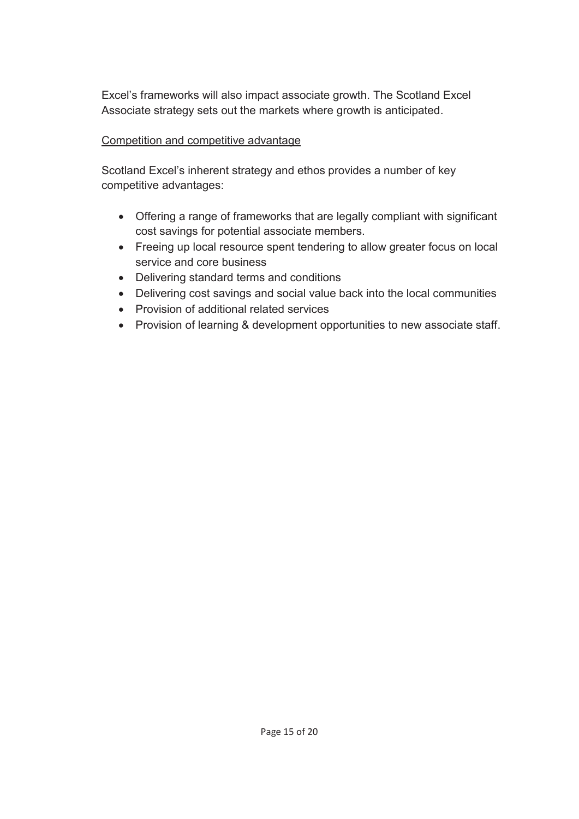Excel's frameworks will also impact associate growth. The Scotland Excel Associate strategy sets out the markets where growth is anticipated.

## Competition and competitive advantage

Scotland Excel's inherent strategy and ethos provides a number of key competitive advantages:

- Offering a range of frameworks that are legally compliant with significant cost savings for potential associate members.
- Freeing up local resource spent tendering to allow greater focus on local service and core business
- Delivering standard terms and conditions
- Delivering cost savings and social value back into the local communities
- Provision of additional related services
- Provision of learning & development opportunities to new associate staff.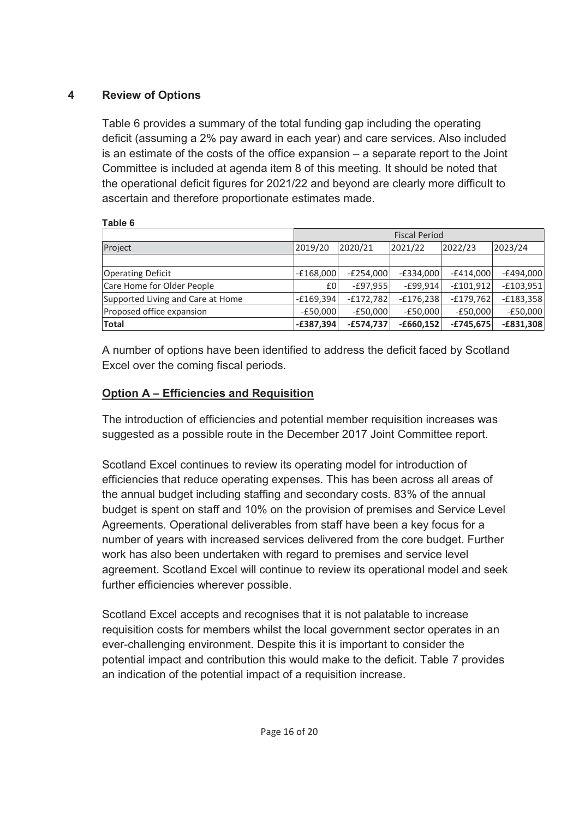## **4 Review of Options**

**Table 6** 

Table 6 provides a summary of the total funding gap including the operating deficit (assuming a 2% pay award in each year) and care services. Also included is an estimate of the costs of the office expansion – a separate report to the Joint Committee is included at agenda item 8 of this meeting. It should be noted that the operational deficit figures for 2021/22 and beyond are clearly more difficult to ascertain and therefore proportionate estimates made.

| i upic v                          |                                                                         |             |             |             |             |  |  |  |  |
|-----------------------------------|-------------------------------------------------------------------------|-------------|-------------|-------------|-------------|--|--|--|--|
|                                   | <b>Fiscal Period</b>                                                    |             |             |             |             |  |  |  |  |
| Project                           | 2021/22<br>2023/24<br>2020/21<br>2022/23<br>2019/20                     |             |             |             |             |  |  |  |  |
|                                   |                                                                         |             |             |             |             |  |  |  |  |
| <b>Operating Deficit</b>          | $-E168,000$                                                             | $-E254,000$ | $-E334,000$ | $-E414,000$ | $-E494,000$ |  |  |  |  |
| Care Home for Older People        | £0                                                                      | $-E97,955$  | $-E99,914$  | $-£101,912$ | $-£103,951$ |  |  |  |  |
| Supported Living and Care at Home | $-E169,394$                                                             | $-E172,782$ | $-E176,238$ | $-E179,762$ | $-E183,358$ |  |  |  |  |
| Proposed office expansion         | $-E50,000$                                                              | $-E50,000$  | $-E50,000$  | $-E50,000$  | $-E50,000$  |  |  |  |  |
| <b>Total</b>                      | $-E831,308$<br>$-£574,737$<br>$-£387,394$<br>$-£660,152$<br>$-£745,675$ |             |             |             |             |  |  |  |  |

A number of options have been identified to address the deficit faced by Scotland Excel over the coming fiscal periods.

# **Option A – Efficiencies and Requisition**

The introduction of efficiencies and potential member requisition increases was suggested as a possible route in the December 2017 Joint Committee report.

Scotland Excel continues to review its operating model for introduction of efficiencies that reduce operating expenses. This has been across all areas of the annual budget including staffing and secondary costs. 83% of the annual budget is spent on staff and 10% on the provision of premises and Service Level Agreements. Operational deliverables from staff have been a key focus for a number of years with increased services delivered from the core budget. Further work has also been undertaken with regard to premises and service level agreement. Scotland Excel will continue to review its operational model and seek further efficiencies wherever possible.

Scotland Excel accepts and recognises that it is not palatable to increase requisition costs for members whilst the local government sector operates in an ever-challenging environment. Despite this it is important to consider the potential impact and contribution this would make to the deficit. Table 7 provides an indication of the potential impact of a requisition increase.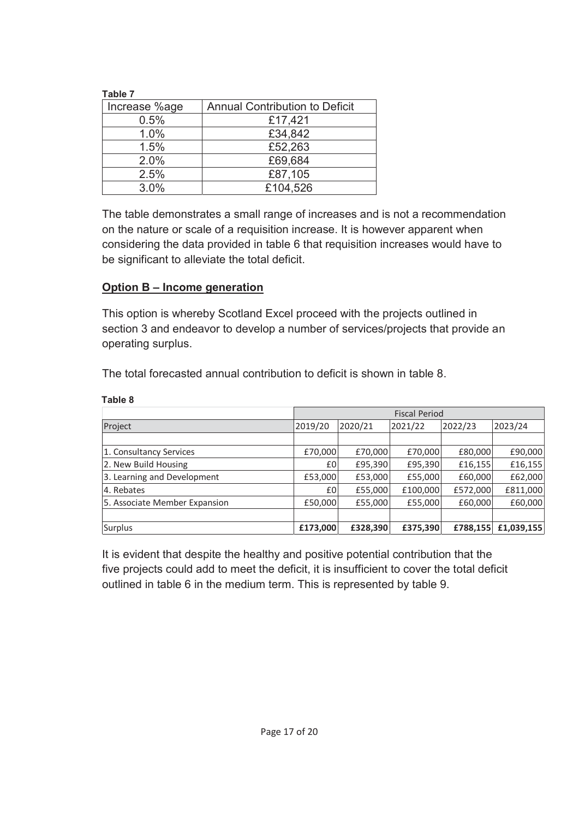| Table 7       |                                       |
|---------------|---------------------------------------|
| Increase %age | <b>Annual Contribution to Deficit</b> |
| 0.5%          | £17,421                               |
| 1.0%          | £34,842                               |
| 1.5%          | £52,263                               |
| 2.0%          | £69,684                               |
| 2.5%          | £87,105                               |
| 3.0%          | £104,526                              |

The table demonstrates a small range of increases and is not a recommendation on the nature or scale of a requisition increase. It is however apparent when considering the data provided in table 6 that requisition increases would have to be significant to alleviate the total deficit.

### **Option B – Income generation**

**Table 8**

This option is whereby Scotland Excel proceed with the projects outlined in section 3 and endeavor to develop a number of services/projects that provide an operating surplus.

The total forecasted annual contribution to deficit is shown in table 8.

|                               | <b>Fiscal Period</b>                                |          |          |          |            |  |  |
|-------------------------------|-----------------------------------------------------|----------|----------|----------|------------|--|--|
| Project                       | 2020/21<br>2021/22<br>2023/24<br>2019/20<br>2022/23 |          |          |          |            |  |  |
|                               |                                                     |          |          |          |            |  |  |
| 1. Consultancy Services       | £70,000                                             | £70,000  | £70,000  | £80,000  | £90,000    |  |  |
| 2. New Build Housing          | £0                                                  | £95,390  | £95,390  | £16,155  | £16,155    |  |  |
| 3. Learning and Development   | £53,000                                             | £53,000  | £55,000  | £60,000  | £62,000    |  |  |
| 4. Rebates                    | £0                                                  | £55,000  | £100,000 | £572,000 | £811,000   |  |  |
| 5. Associate Member Expansion | £50,000                                             | £55,000  | £55,000  | £60,000  | £60,000    |  |  |
|                               |                                                     |          |          |          |            |  |  |
| Surplus                       | £173,000                                            | £328,390 | £375,390 | £788,155 | £1,039,155 |  |  |

It is evident that despite the healthy and positive potential contribution that the five projects could add to meet the deficit, it is insufficient to cover the total deficit outlined in table 6 in the medium term. This is represented by table 9.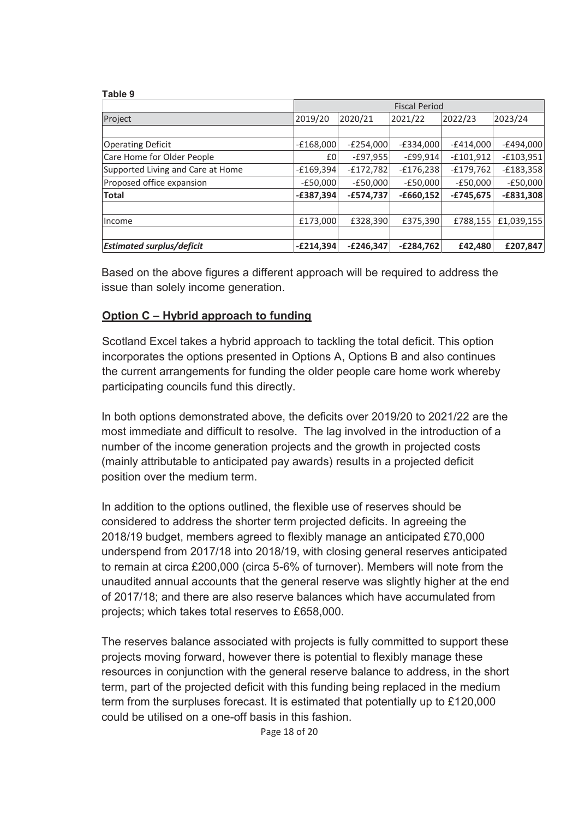#### **Table 9**

|                                   | <b>Fiscal Period</b> |             |             |             |             |  |  |
|-----------------------------------|----------------------|-------------|-------------|-------------|-------------|--|--|
| Project                           | 2019/20              | 2020/21     | 2021/22     | 2022/23     | 2023/24     |  |  |
|                                   |                      |             |             |             |             |  |  |
| <b>Operating Deficit</b>          | $-E168,000$          | $-E254,000$ | $-E334,000$ | $-E414,000$ | $-E494,000$ |  |  |
| Care Home for Older People        | £0                   | $-E97,955$  | $-E99,914$  | $-f101,912$ | $-£103,951$ |  |  |
| Supported Living and Care at Home | $-£169,394$          | $-£172,782$ | $-E176,238$ | $-E179,762$ | $-£183,358$ |  |  |
| Proposed office expansion         | $-E50,000$           | $-E50,000$  | $-E50,000$  | $-E50,000$  | $-£50,000$  |  |  |
| <b>Total</b>                      | $-£387,394$          | $-£574,737$ | $-£660,152$ | $-E745,675$ | $-£831,308$ |  |  |
| Income                            | £173,000             | £328,390    | £375,390    | £788,155    | £1,039,155  |  |  |
| <b>Estimated surplus/deficit</b>  | $-E214,394$          | $-E246,347$ | $-E284,762$ | £42,480     | £207,847    |  |  |

Based on the above figures a different approach will be required to address the issue than solely income generation.

### **Option C – Hybrid approach to funding**

Scotland Excel takes a hybrid approach to tackling the total deficit. This option incorporates the options presented in Options A, Options B and also continues the current arrangements for funding the older people care home work whereby participating councils fund this directly.

In both options demonstrated above, the deficits over 2019/20 to 2021/22 are the most immediate and difficult to resolve. The lag involved in the introduction of a number of the income generation projects and the growth in projected costs (mainly attributable to anticipated pay awards) results in a projected deficit position over the medium term.

In addition to the options outlined, the flexible use of reserves should be considered to address the shorter term projected deficits. In agreeing the 2018/19 budget, members agreed to flexibly manage an anticipated £70,000 underspend from 2017/18 into 2018/19, with closing general reserves anticipated to remain at circa £200,000 (circa 5-6% of turnover). Members will note from the unaudited annual accounts that the general reserve was slightly higher at the end of 2017/18; and there are also reserve balances which have accumulated from projects; which takes total reserves to £658,000.

The reserves balance associated with projects is fully committed to support these projects moving forward, however there is potential to flexibly manage these resources in conjunction with the general reserve balance to address, in the short term, part of the projected deficit with this funding being replaced in the medium term from the surpluses forecast. It is estimated that potentially up to £120,000 could be utilised on a one-off basis in this fashion.

Page 18 of 20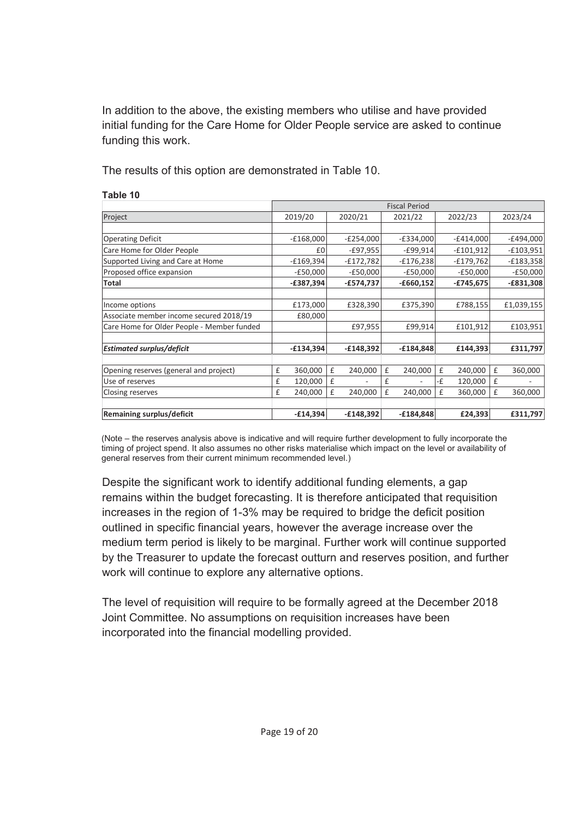In addition to the above, the existing members who utilise and have provided initial funding for the Care Home for Older People service are asked to continue funding this work.

The results of this option are demonstrated in Table 10.

|                                            | <b>Fiscal Period</b> |             |   |             |   |             |    |             |   |             |
|--------------------------------------------|----------------------|-------------|---|-------------|---|-------------|----|-------------|---|-------------|
| Project                                    |                      | 2019/20     |   | 2020/21     |   | 2021/22     |    | 2022/23     |   | 2023/24     |
|                                            |                      |             |   |             |   |             |    |             |   |             |
| <b>Operating Deficit</b>                   |                      | $-£168,000$ |   | $-E254,000$ |   | $-E334,000$ |    | $-E414,000$ |   | $-E494,000$ |
| Care Home for Older People                 |                      | £0          |   | $-E97,955$  |   | $-£99,914$  |    | $-£101,912$ |   | $-£103,951$ |
| Supported Living and Care at Home          |                      | $-£169,394$ |   | $-E172,782$ |   | $-£176,238$ |    | $-E179,762$ |   | $-£183,358$ |
| Proposed office expansion                  |                      | $-E50,000$  |   | $-E50,000$  |   | $-E50,000$  |    | $-E50,000$  |   | $-£50,000$  |
| Total                                      |                      | $-£387,394$ |   | $-£574,737$ |   | $-£660,152$ |    | $-£745,675$ |   | $-£831,308$ |
|                                            |                      |             |   |             |   |             |    |             |   |             |
| Income options                             |                      | £173,000    |   | £328,390    |   | £375,390    |    | £788,155    |   | £1,039,155  |
| Associate member income secured 2018/19    |                      | £80,000     |   |             |   |             |    |             |   |             |
| Care Home for Older People - Member funded |                      |             |   | £97,955     |   | £99,914     |    | £101,912    |   | £103,951    |
|                                            |                      |             |   |             |   |             |    |             |   |             |
| <b>Estimated surplus/deficit</b>           |                      | $-£134,394$ |   | $-E148,392$ |   | $-£184,848$ |    | £144,393    |   | £311,797    |
|                                            |                      |             |   |             |   |             |    |             |   |             |
| Opening reserves (general and project)     | £                    | 360,000     | £ | 240,000     | £ | 240,000     | £  | 240,000     | £ | 360,000     |
| Use of reserves                            | £                    | 120,000     | £ |             | £ |             | -£ | 120,000     | £ |             |
| Closing reserves                           | £                    | 240,000     | £ | 240,000     | £ | 240,000     | £  | 360,000     | £ | 360,000     |
|                                            |                      |             |   |             |   |             |    |             |   |             |
| Remaining surplus/deficit                  |                      | $-£14,394$  |   | $-£148,392$ |   | $-£184,848$ |    | £24,393     |   | £311,797    |

#### **Table 10**

(Note – the reserves analysis above is indicative and will require further development to fully incorporate the timing of project spend. It also assumes no other risks materialise which impact on the level or availability of general reserves from their current minimum recommended level.)

Despite the significant work to identify additional funding elements, a gap remains within the budget forecasting. It is therefore anticipated that requisition increases in the region of 1-3% may be required to bridge the deficit position outlined in specific financial years, however the average increase over the medium term period is likely to be marginal. Further work will continue supported by the Treasurer to update the forecast outturn and reserves position, and further work will continue to explore any alternative options.

The level of requisition will require to be formally agreed at the December 2018 Joint Committee. No assumptions on requisition increases have been incorporated into the financial modelling provided.